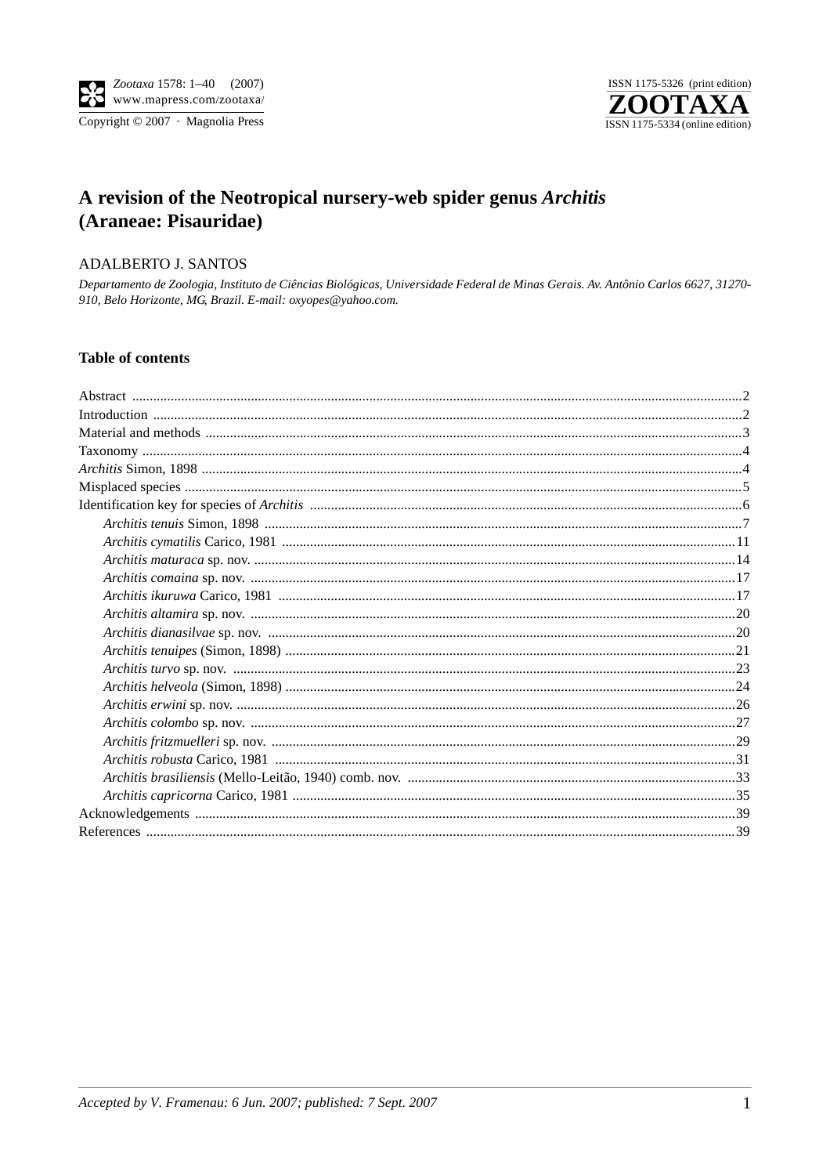

# A revision of the Neotropical nursery-web spider genus Architis (Araneae: Pisauridae)

# ADALBERTO J. SANTOS

Departamento de Zoologia, Instituto de Ciências Biológicas, Universidade Federal de Minas Gerais. Av. Antônio Carlos 6627, 31270-910, Belo Horizonte, MG, Brazil. E-mail: oxyopes@yahoo.com.

## **Table of contents**